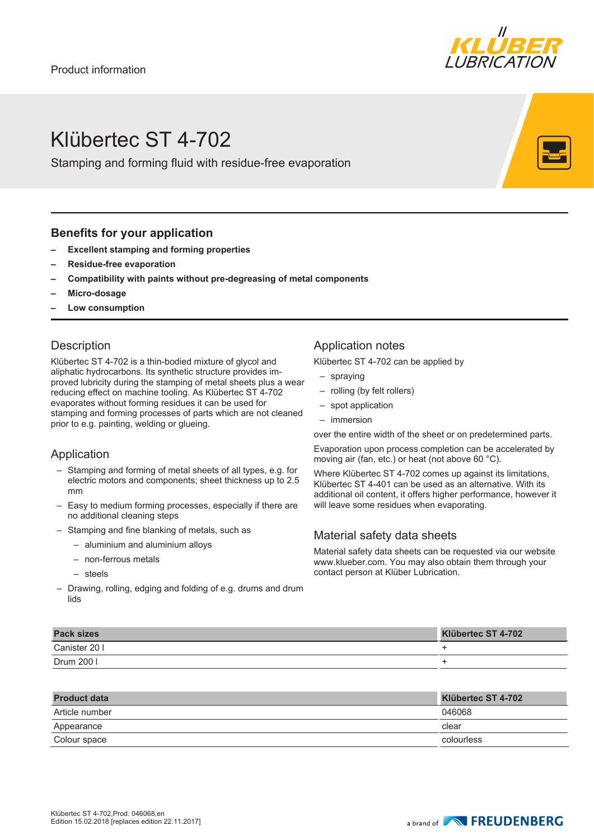

# Klübertec ST 4-702

Stamping and forming fluid with residue-free evaporation

#### **Benefits for your application**

- **– Excellent stamping and forming properties**
- **– Residue-free evaporation**
- **– Compatibility with paints without pre-degreasing of metal components**
- **– Micro-dosage**
- **– Low consumption**

#### **Description**

Klübertec ST 4-702 is a thin-bodied mixture of glycol and aliphatic hydrocarbons. Its synthetic structure provides improved lubricity during the stamping of metal sheets plus a wear reducing effect on machine tooling. As Klübertec ST 4-702 evaporates without forming residues it can be used for stamping and forming processes of parts which are not cleaned prior to e.g. painting, welding or glueing.

#### Application

- Stamping and forming of metal sheets of all types, e.g. for electric motors and components; sheet thickness up to 2.5 mm
- Easy to medium forming processes, especially if there are no additional cleaning steps
- Stamping and fine blanking of metals, such as
	- aluminium and aluminium alloys
	- non-ferrous metals
	- steels
- Drawing, rolling, edging and folding of e.g. drums and drum lids

### Application notes

Klübertec ST 4-702 can be applied by

- spraying
- rolling (by felt rollers)
- spot application
- immersion

over the entire width of the sheet or on predetermined parts.

Evaporation upon process completion can be accelerated by moving air (fan, etc.) or heat (not above 60 °C).

Where Klübertec ST 4-702 comes up against its limitations, Klübertec ST 4-401 can be used as an alternative. With its additional oil content, it offers higher performance, however it will leave some residues when evaporating.

#### Material safety data sheets

Material safety data sheets can be requested via our website www.klueber.com. You may also obtain them through your contact person at Klüber Lubrication.

| <b>Pack sizes</b> | Klübertec ST 4-702 |
|-------------------|--------------------|
| Canister 20 I     |                    |
| Drum 200 l        |                    |

| <b>Product data</b> | Klübertec ST 4-702 |
|---------------------|--------------------|
| Article number      | 046068             |
| Appearance          | clear              |
| Colour space        | colourless         |